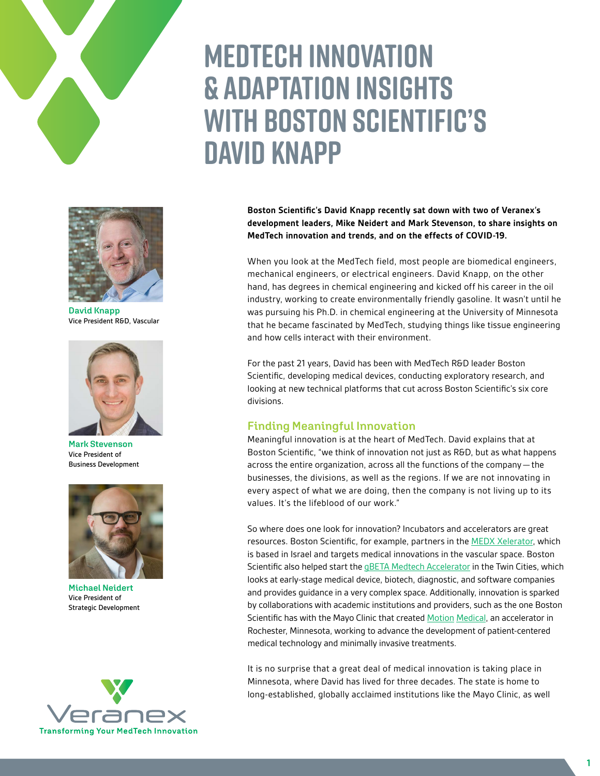

**David Knapp** Vice President R&D, Vascular



**Mark Stevenson** Vice President of Business Development



**Michael Neidert** Vice President of Strategic Development



# **Medtech innovation & adaptation Insights with Boston Scientific's David Knapp**

**Boston Scientific's David Knapp recently sat down with two of Veranex's development leaders, Mike Neidert and Mark Stevenson, to share insights on MedTech innovation and trends, and on the effects of COVID-19.**

When you look at the MedTech field, most people are biomedical engineers, mechanical engineers, or electrical engineers. David Knapp, on the other hand, has degrees in chemical engineering and kicked off his career in the oil industry, working to create environmentally friendly gasoline. It wasn't until he was pursuing his Ph.D. in chemical engineering at the University of Minnesota that he became fascinated by MedTech, studying things like tissue engineering and how cells interact with their environment.

For the past 21 years, David has been with MedTech R&D leader Boston Scientific, developing medical devices, conducting exploratory research, and looking at new technical platforms that cut across Boston Scientific's six core divisions.

### **Finding Meaningful Innovation**

Meaningful innovation is at the heart of MedTech. David explains that at Boston Scientific, "we think of innovation not just as R&D, but as what happens across the entire organization, across all the functions of the company—the businesses, the divisions, as well as the regions. If we are not innovating in every aspect of what we are doing, then the company is not living up to its values. It's the lifeblood of our work."

So where does one look for innovation? Incubators and accelerators are great resources. Boston Scientific, for example, partners in the **MEDX Xelerator**, which is based in Israel and targets medical innovations in the vascular space. Boston Scientific also helped start the **gBETA Medtech Accelerator** in the Twin Cities, which looks at early-stage medical device, biotech, diagnostic, and software companies and provides guidance in a very complex space. Additionally, innovation is sparked by collaborations with academic institutions and providers, such as the one Boston Scientific has with the Mayo Clinic that created Motion [Medical,](https://www.mpo-mag.com/contents/view_breaking-news/2019-07-30/mayo-clinic-boston-scientific-launch-motion-medical-accelerator/) an accelerator in Rochester, Minnesota, working to advance the development of patient-centered medical technology and minimally invasive treatments.

It is no surprise that a great deal of medical innovation is taking place in Minnesota, where David has lived for three decades. The state is home to long-established, globally acclaimed institutions like the Mayo Clinic, as well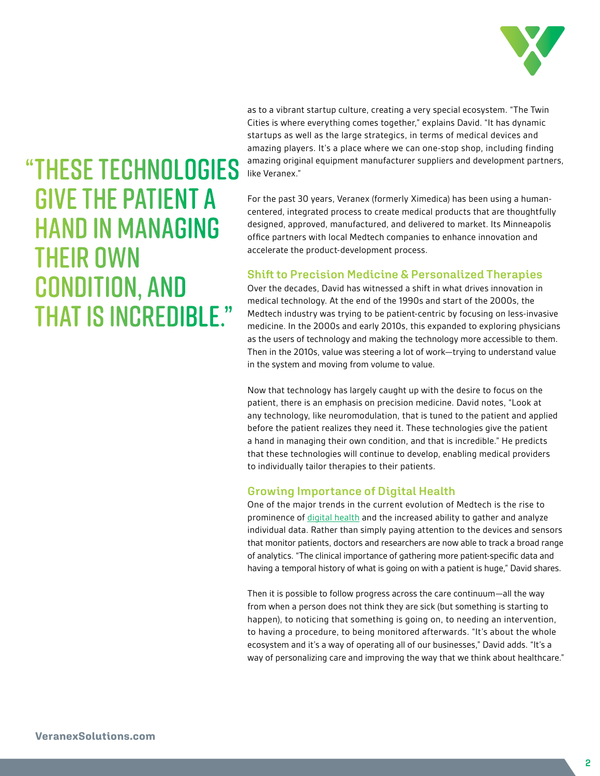

as to a vibrant startup culture, creating a very special ecosystem. "The Twin Cities is where everything comes together," explains David. "It has dynamic startups as well as the large strategics, in terms of medical devices and amazing players. It's a place where we can one-stop shop, including finding amazing original equipment manufacturer suppliers and development partners, like Veranex."

For the past 30 years, Veranex (formerly Ximedica) has been using a humancentered, integrated process to create medical products that are thoughtfully designed, approved, manufactured, and delivered to market. Its Minneapolis office partners with local Medtech companies to enhance innovation and accelerate the product-development process.

### **Shift to Precision Medicine & Personalized Therapies**

Over the decades, David has witnessed a shift in what drives innovation in medical technology. At the end of the 1990s and start of the 2000s, the Medtech industry was trying to be patient-centric by focusing on less-invasive medicine. In the 2000s and early 2010s, this expanded to exploring physicians as the users of technology and making the technology more accessible to them. Then in the 2010s, value was steering a lot of work—trying to understand value in the system and moving from volume to value.

Now that technology has largely caught up with the desire to focus on the patient, there is an emphasis on precision medicine. David notes, "Look at any technology, like neuromodulation, that is tuned to the patient and applied before the patient realizes they need it. These technologies give the patient a hand in managing their own condition, and that is incredible." He predicts that these technologies will continue to develop, enabling medical providers to individually tailor therapies to their patients.

### **Growing Importance of Digital Health**

One of the major trends in the current evolution of Medtech is the rise to prominence of [digital health](https://www.ximedica.com/what-we-create/digital/) and the increased ability to gather and analyze individual data. Rather than simply paying attention to the devices and sensors that monitor patients, doctors and researchers are now able to track a broad range of analytics. "The clinical importance of gathering more patient-specific data and having a temporal history of what is going on with a patient is huge," David shares.

Then it is possible to follow progress across the care continuum—all the way from when a person does not think they are sick (but something is starting to happen), to noticing that something is going on, to needing an intervention, to having a procedure, to being monitored afterwards. "It's about the whole ecosystem and it's a way of operating all of our businesses," David adds. "It's a way of personalizing care and improving the way that we think about healthcare."

## "THESE TECHNOLOGIES GIVE THE PATIENT A HAND IN MANAGING THEIR OWN CONDITION, AND THAT IS INCREDIBLE."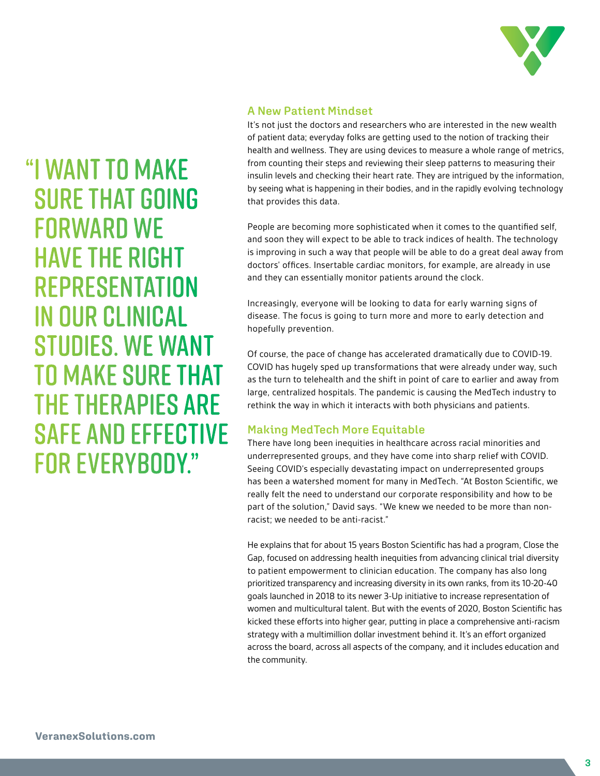

### **A New Patient Mindset**

It's not just the doctors and researchers who are interested in the new wealth of patient data; everyday folks are getting used to the notion of tracking their health and wellness. They are using devices to measure a whole range of metrics, from counting their steps and reviewing their sleep patterns to measuring their insulin levels and checking their heart rate. They are intrigued by the information, by seeing what is happening in their bodies, and in the rapidly evolving technology that provides this data.

People are becoming more sophisticated when it comes to the quantified self, and soon they will expect to be able to track indices of health. The technology is improving in such a way that people will be able to do a great deal away from doctors' offices. Insertable cardiac monitors, for example, are already in use and they can essentially monitor patients around the clock.

Increasingly, everyone will be looking to data for early warning signs of disease. The focus is going to turn more and more to early detection and hopefully prevention.

Of course, the pace of change has accelerated dramatically due to COVID-19. COVID has hugely sped up transformations that were already under way, such as the turn to telehealth and the shift in point of care to earlier and away from large, centralized hospitals. The pandemic is causing the MedTech industry to rethink the way in which it interacts with both physicians and patients.

### **Making MedTech More Equitable**

There have long been inequities in healthcare across racial minorities and underrepresented groups, and they have come into sharp relief with COVID. Seeing COVID's especially devastating impact on underrepresented groups has been a watershed moment for many in MedTech. "At Boston Scientific, we really felt the need to understand our corporate responsibility and how to be part of the solution," David says. "We knew we needed to be more than nonracist; we needed to be anti-racist."

He explains that for about 15 years Boston Scientific has had a program, Close the Gap, focused on addressing health inequities from advancing clinical trial diversity to patient empowerment to clinician education. The company has also long prioritized transparency and increasing diversity in its own ranks, from its 10-20-40 goals launched in 2018 to its newer 3-Up initiative to increase representation of women and multicultural talent. But with the events of 2020, Boston Scientific has kicked these efforts into higher gear, putting in place a comprehensive anti-racism strategy with a multimillion dollar investment behind it. It's an effort organized across the board, across all aspects of the company, and it includes education and the community.

"I WANT TO MAKE SURE THAT GOING FORWARD WE HAVE THE RIGHT REPRESENTATION IN OUR CLINICAL STUDIES. WE WANT TO MAKE SURE THAT THE THERAPIES ARE SAFE AND EFFECTIVE FOR EVERYBODY."